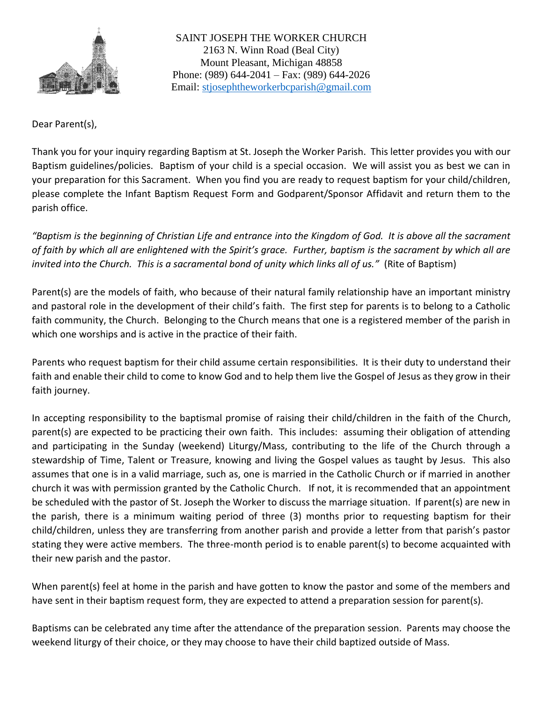

Dear Parent(s),

Thank you for your inquiry regarding Baptism at St. Joseph the Worker Parish. This letter provides you with our Baptism guidelines/policies. Baptism of your child is a special occasion. We will assist you as best we can in your preparation for this Sacrament. When you find you are ready to request baptism for your child/children, please complete the Infant Baptism Request Form and Godparent/Sponsor Affidavit and return them to the parish office.

*"Baptism is the beginning of Christian Life and entrance into the Kingdom of God. It is above all the sacrament of faith by which all are enlightened with the Spirit's grace. Further, baptism is the sacrament by which all are invited into the Church. This is a sacramental bond of unity which links all of us."* (Rite of Baptism)

Parent(s) are the models of faith, who because of their natural family relationship have an important ministry and pastoral role in the development of their child's faith. The first step for parents is to belong to a Catholic faith community, the Church. Belonging to the Church means that one is a registered member of the parish in which one worships and is active in the practice of their faith.

Parents who request baptism for their child assume certain responsibilities. It is their duty to understand their faith and enable their child to come to know God and to help them live the Gospel of Jesus as they grow in their faith journey.

In accepting responsibility to the baptismal promise of raising their child/children in the faith of the Church, parent(s) are expected to be practicing their own faith. This includes: assuming their obligation of attending and participating in the Sunday (weekend) Liturgy/Mass, contributing to the life of the Church through a stewardship of Time, Talent or Treasure, knowing and living the Gospel values as taught by Jesus. This also assumes that one is in a valid marriage, such as, one is married in the Catholic Church or if married in another church it was with permission granted by the Catholic Church. If not, it is recommended that an appointment be scheduled with the pastor of St. Joseph the Worker to discuss the marriage situation. If parent(s) are new in the parish, there is a minimum waiting period of three (3) months prior to requesting baptism for their child/children, unless they are transferring from another parish and provide a letter from that parish's pastor stating they were active members. The three-month period is to enable parent(s) to become acquainted with their new parish and the pastor.

When parent(s) feel at home in the parish and have gotten to know the pastor and some of the members and have sent in their baptism request form, they are expected to attend a preparation session for parent(s).

Baptisms can be celebrated any time after the attendance of the preparation session. Parents may choose the weekend liturgy of their choice, or they may choose to have their child baptized outside of Mass.